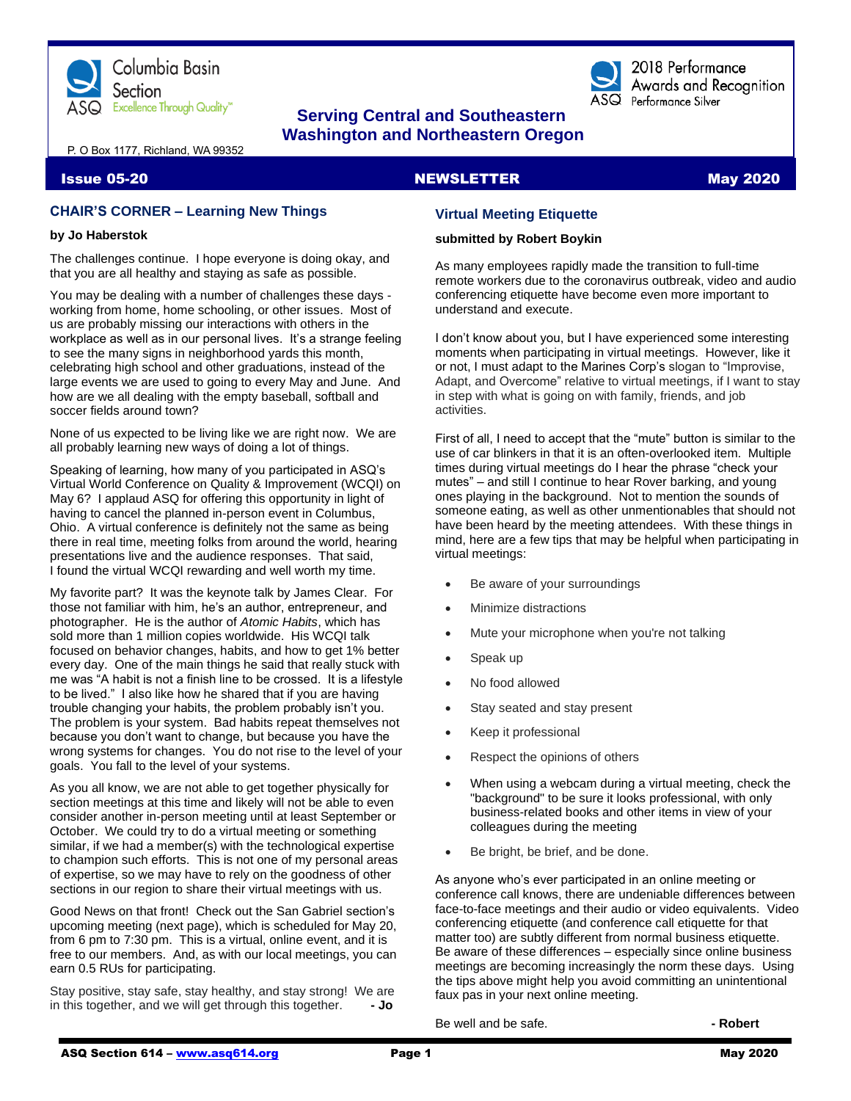

# **Serving Central and Southeastern Washington and Northeastern Oregon**

P. O Box 1177, Richland, WA 99352

#### Issue 05-20 NewsLETTER NEWSLETTER May 2020

#### **CHAIR'S CORNER – Learning New Things**

#### **by Jo Haberstok**

The challenges continue. I hope everyone is doing okay, and that you are all healthy and staying as safe as possible.

You may be dealing with a number of challenges these days working from home, home schooling, or other issues. Most of us are probably missing our interactions with others in the workplace as well as in our personal lives. It's a strange feeling to see the many signs in neighborhood yards this month, celebrating high school and other graduations, instead of the large events we are used to going to every May and June. And how are we all dealing with the empty baseball, softball and soccer fields around town?

None of us expected to be living like we are right now. We are all probably learning new ways of doing a lot of things.

Speaking of learning, how many of you participated in ASQ's Virtual World Conference on Quality & Improvement (WCQI) on May 6? I applaud ASQ for offering this opportunity in light of having to cancel the planned in-person event in Columbus, Ohio. A virtual conference is definitely not the same as being there in real time, meeting folks from around the world, hearing presentations live and the audience responses. That said, I found the virtual WCQI rewarding and well worth my time.

My favorite part? It was the keynote talk by James Clear. For those not familiar with him, he's an author, entrepreneur, and photographer. He is the author of *Atomic Habits*, which has sold more than 1 million copies worldwide. His WCQI talk focused on behavior changes, habits, and how to get 1% better every day. One of the main things he said that really stuck with me was "A habit is not a finish line to be crossed. It is a lifestyle to be lived." I also like how he shared that if you are having trouble changing your habits, the problem probably isn't you. The problem is your system. Bad habits repeat themselves not because you don't want to change, but because you have the wrong systems for changes. You do not rise to the level of your goals. You fall to the level of your systems.

As you all know, we are not able to get together physically for section meetings at this time and likely will not be able to even consider another in-person meeting until at least September or October. We could try to do a virtual meeting or something similar, if we had a member(s) with the technological expertise to champion such efforts. This is not one of my personal areas of expertise, so we may have to rely on the goodness of other sections in our region to share their virtual meetings with us.

Good News on that front! Check out the San Gabriel section's upcoming meeting (next page), which is scheduled for May 20, from 6 pm to 7:30 pm. This is a virtual, online event, and it is free to our members. And, as with our local meetings, you can earn 0.5 RUs for participating.

Stay positive, stay safe, stay healthy, and stay strong! We are in this together, and we will get through this together. **- Jo**

2018 Performance Awards and Recognition

 $\overline{\text{ASQ}}$  Performance Silver

#### **Virtual Meeting Etiquette**

#### **submitted by Robert Boykin**

As many employees rapidly made the transition to full-time remote workers due to the coronavirus outbreak, video and audio conferencing etiquette have become even more important to understand and execute.

I don't know about you, but I have experienced some interesting moments when participating in virtual meetings. However, like it or not, I must adapt to the Marines Corp's slogan to "Improvise, Adapt, and Overcome" relative to virtual meetings, if I want to stay in step with what is going on with family, friends, and job activities.

First of all, I need to accept that the "mute" button is similar to the use of car blinkers in that it is an often-overlooked item. Multiple times during virtual meetings do I hear the phrase "check your mutes" – and still I continue to hear Rover barking, and young ones playing in the background. Not to mention the sounds of someone eating, as well as other unmentionables that should not have been heard by the meeting attendees. With these things in mind, here are a few tips that may be helpful when participating in virtual meetings:

- Be aware of your surroundings
- Minimize distractions
- Mute your microphone when you're not talking
- Speak up
- No food allowed
- Stay seated and stay present
- Keep it professional
- Respect the opinions of others
- When using a webcam during a virtual meeting, check the "background" to be sure it looks professional, with only business-related books and other items in view of your colleagues during the meeting
- Be bright, be brief, and be done.

As anyone who's ever participated in an online meeting or conference call knows, there are undeniable differences between face-to-face meetings and their audio or video equivalents. Video conferencing etiquette (and conference call etiquette for that matter too) are subtly different from normal business etiquette. Be aware of these differences – especially since online business meetings are becoming increasingly the norm these days. Using the tips above might help you avoid committing an unintentional faux pas in your next online meeting.

Be well and be safe. **- Robert**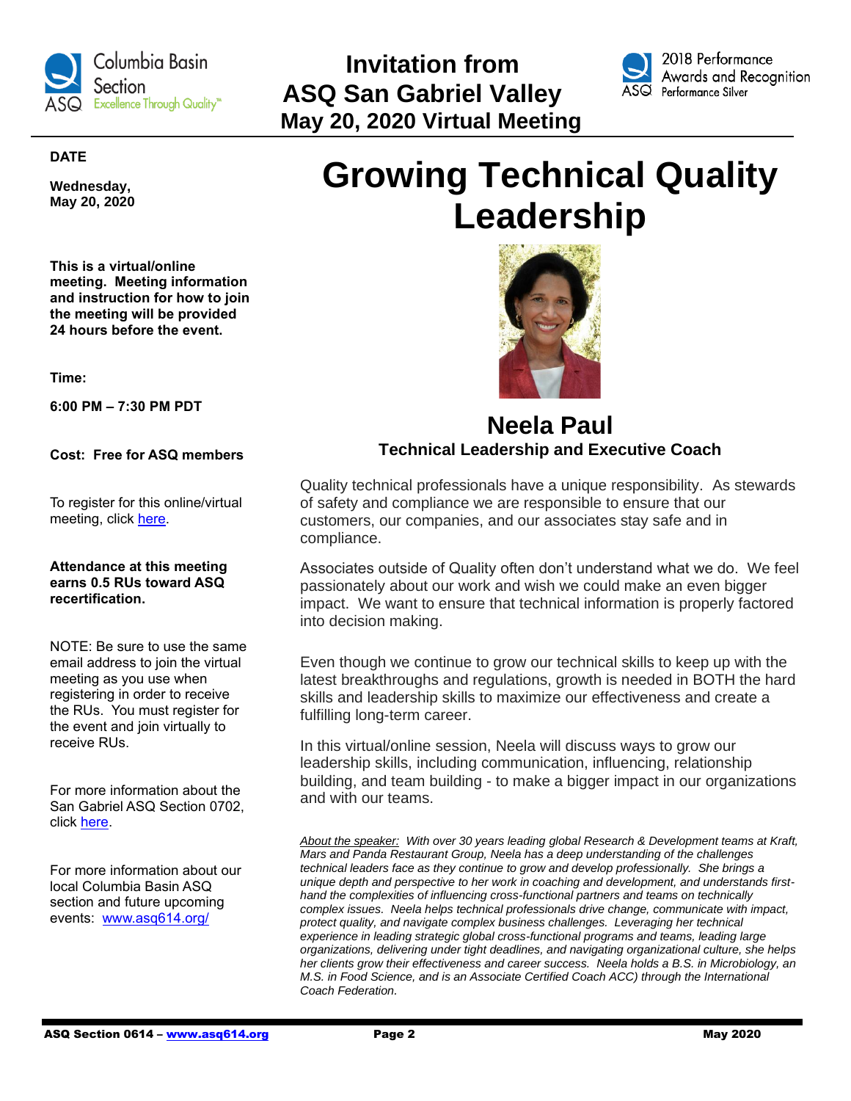

 **Invitation from ASQ San Gabriel Valley Excellence Through Quality\* May 20, 2020 Virtual Meeting** 



2018 Performance Awards and Recognition Performance Silver

#### **DATE**

**Wednesday, May 20, 2020**

**This is a virtual/online meeting. Meeting information and instruction for how to join the meeting will be provided 24 hours before the event.**

**Time:**

**6:00 PM – 7:30 PM PDT**

**Cost: Free for ASQ members**

To register for this online/virtual meeting, click [here.](https://www.eventbrite.com/e/2020-05-asq-san-gabriel-valley-monthly-meeting-tickets-37748777610?aff=odeimcmailchimp&utm_campaign=717f25c18b-2018-03+ASQ+0702+Monthly+Meeting_COPY_01&utm_term=0_5cb6d4a937-717f25c18b-250793833&utm_source=ASQ+702+Members+%26+Attendees&utm_medium=email&mc_eid=9be15f98de&mc_cid=717f25c18b)

#### **Attendance at this meeting earns 0.5 RUs toward ASQ recertification.**

NOTE: Be sure to use the same email address to join the virtual meeting as you use when registering in order to receive the RUs. You must register for the event and join virtually to receive RUs.

For more information about the San Gabriel ASQ Section 0702, click [here.](https://my.asq.org/communities/home/241)

For more information about our local Columbia Basin ASQ section and future upcoming events: [www.asq614.org/](http://www.asq614.org/)

# **Growing Technical Quality Leadership**



# **Neela Paul Technical Leadership and Executive Coach**

Quality technical professionals have a unique responsibility. As stewards of safety and compliance we are responsible to ensure that our customers, our companies, and our associates stay safe and in compliance.

Associates outside of Quality often don't understand what we do. We feel passionately about our work and wish we could make an even bigger impact. We want to ensure that technical information is properly factored into decision making.

Even though we continue to grow our technical skills to keep up with the latest breakthroughs and regulations, growth is needed in BOTH the hard skills and leadership skills to maximize our effectiveness and create a fulfilling long-term career.

In this virtual/online session, Neela will discuss ways to grow our leadership skills, including communication, influencing, relationship building, and team building - to make a bigger impact in our organizations and with our teams.

*About the speaker: With over 30 years leading global Research & Development teams at Kraft, Mars and Panda Restaurant Group, Neela has a deep understanding of the challenges technical leaders face as they continue to grow and develop professionally. She brings a unique depth and perspective to her work in coaching and development, and understands firsthand the complexities of influencing cross-functional partners and teams on technically complex issues. Neela helps technical professionals drive change, communicate with impact, protect quality, and navigate complex business challenges. Leveraging her technical experience in leading strategic global cross-functional programs and teams, leading large organizations, delivering under tight deadlines, and navigating organizational culture, she helps her clients grow their effectiveness and career success. Neela holds a B.S. in Microbiology, an M.S. in Food Science, and is an Associate Certified Coach ACC) through the International Coach Federation.*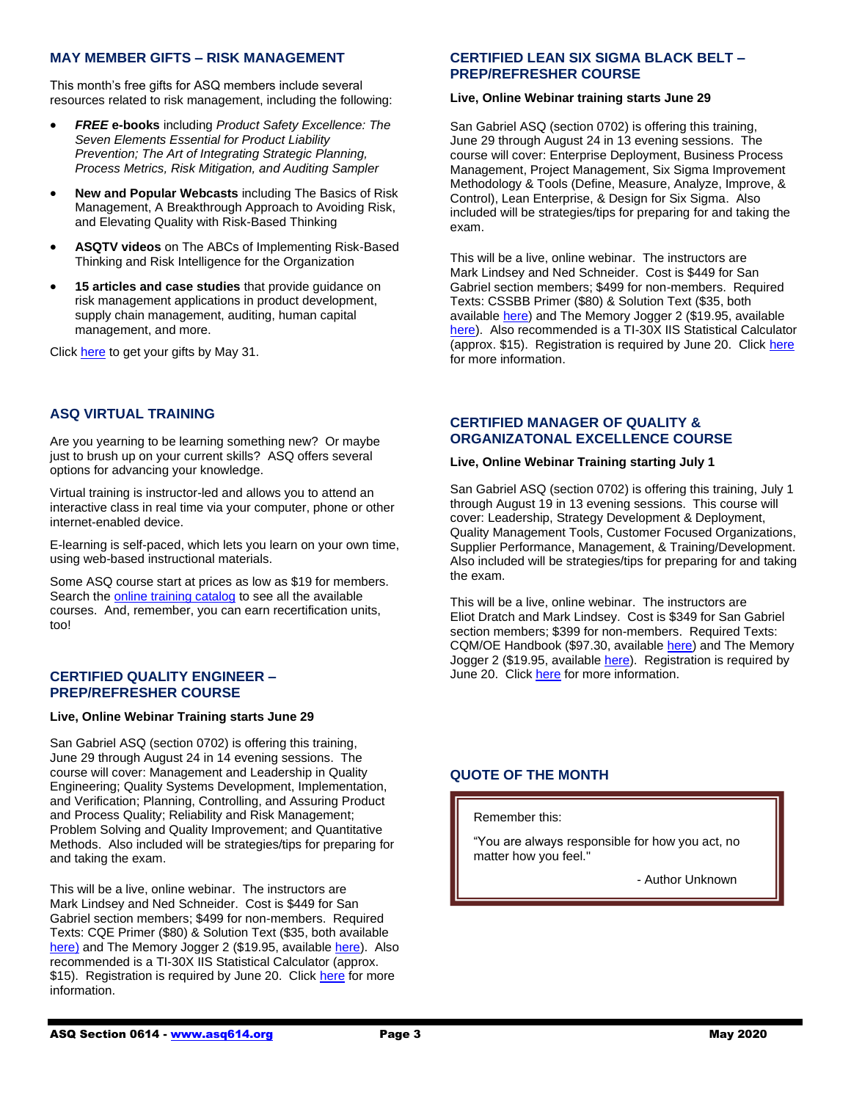#### **MAY MEMBER GIFTS – RISK MANAGEMENT**

This month's free gifts for ASQ members include several resources related to risk management, including the following:

- *FREE* **e-books** including *Product Safety Excellence: The Seven Elements Essential for Product Liability Prevention; The Art of Integrating Strategic Planning, Process Metrics, Risk Mitigation, and Auditing Sampler*
- **New and Popular Webcasts** including The Basics of Risk Management, A Breakthrough Approach to Avoiding Risk, and Elevating Quality with Risk-Based Thinking
- **ASQTV videos** on The ABCs of Implementing Risk-Based Thinking and Risk Intelligence for the Organization
- **15 articles and case studies** that provide guidance on risk management applications in product development, supply chain management, auditing, human capital management, and more.

Click [here](https://secure.asq.org/perl/msg.pl?prvurl=http://asq.org/membership/members/gift/?utm_source=email&utm_medium=email&utm_campaign=marketing_maymembergift_050120) to get your gifts by May 31.

#### **ASQ VIRTUAL TRAINING**

Are you yearning to be learning something new? Or maybe just to brush up on your current skills? ASQ offers several options for advancing your knowledge.

Virtual training is instructor-led and allows you to attend an interactive class in real time via your computer, phone or other internet-enabled device.

E-learning is self-paced, which lets you learn on your own time, using web-based instructional materials.

Some ASQ course start at prices as low as \$19 for members. Search the **online training catalog** to see all the available courses. And, remember, you can earn recertification units, too!

#### **CERTIFIED QUALITY ENGINEER – PREP/REFRESHER COURSE**

#### **Live, Online Webinar Training starts June 29**

San Gabriel ASQ (section 0702) is offering this training, June 29 through August 24 in 14 evening sessions. The course will cover: Management and Leadership in Quality Engineering; Quality Systems Development, Implementation, and Verification; Planning, Controlling, and Assuring Product and Process Quality; Reliability and Risk Management; Problem Solving and Quality Improvement; and Quantitative Methods. Also included will be strategies/tips for preparing for and taking the exam.

This will be a live, online webinar. The instructors are Mark Lindsey and Ned Schneider. Cost is \$449 for San Gabriel section members; \$499 for non-members. Required Texts: CQE Primer (\$80) & Solution Text (\$35, both available [here\)](http://www.qualitycouncil.com/) and The Memory Jogger 2 (\$19.95, available [here\)](http://www.goalqpc.com/). Also recommended is a TI-30X IIS Statistical Calculator (approx. \$15). Registration is required by June 20. Click [here](https://mailchi.mp/4531514a55b6/37748689346-4777177?fbclid=IwAR0tgd30ng3XrkfLyDW40hlRoc5PQnzqA5NN5LPx80MKE_lHVrvnH8h9l-U) for more information.

#### **CERTIFIED LEAN SIX SIGMA BLACK BELT – PREP/REFRESHER COURSE**

#### **Live, Online Webinar training starts June 29**

San Gabriel ASQ (section 0702) is offering this training, June 29 through August 24 in 13 evening sessions. The course will cover: Enterprise Deployment, Business Process Management, Project Management, Six Sigma Improvement Methodology & Tools (Define, Measure, Analyze, Improve, & Control), Lean Enterprise, & Design for Six Sigma. Also included will be strategies/tips for preparing for and taking the exam.

This will be a live, online webinar. The instructors are Mark Lindsey and Ned Schneider. Cost is \$449 for San Gabriel section members; \$499 for non-members. Required Texts: CSSBB Primer (\$80) & Solution Text (\$35, both available [here\)](http://www.qualitycouncil.com/) and The Memory Jogger 2 (\$19.95, available [here\)](http://www.goalqpc.com/). Also recommended is a TI-30X IIS Statistical Calculator (approx. \$15). Registration is required by June 20. Clic[k here](https://mailchi.mp/4531514a55b6/37748689346-4777177?fbclid=IwAR0tgd30ng3XrkfLyDW40hlRoc5PQnzqA5NN5LPx80MKE_lHVrvnH8h9l-U) for more information.

#### **CERTIFIED MANAGER OF QUALITY & ORGANIZATONAL EXCELLENCE COURSE**

#### **Live, Online Webinar Training starting July 1**

San Gabriel ASQ (section 0702) is offering this training, July 1 through August 19 in 13 evening sessions. This course will cover: Leadership, Strategy Development & Deployment, Quality Management Tools, Customer Focused Organizations, Supplier Performance, Management, & Training/Development. Also included will be strategies/tips for preparing for and taking the exam.

This will be a live, online webinar. The instructors are Eliot Dratch and Mark Lindsey. Cost is \$349 for San Gabriel section members; \$399 for non-members. Required Texts: CQM/OE Handbook (\$97.30, available [here\)](https://asq.org/quality-press/display-item?item=H1447) and The Memory Jogger 2 (\$19.95, available [here\)](http://www.goalqpc.com/). Registration is required by June 20. Clic[k here](https://mailchi.mp/4531514a55b6/37748689346-4777177?fbclid=IwAR0tgd30ng3XrkfLyDW40hlRoc5PQnzqA5NN5LPx80MKE_lHVrvnH8h9l-U) for more information.

#### **QUOTE OF THE MONTH**

#### Remember this:

"You are always responsible for how you act, no matter how you feel."

- Author Unknown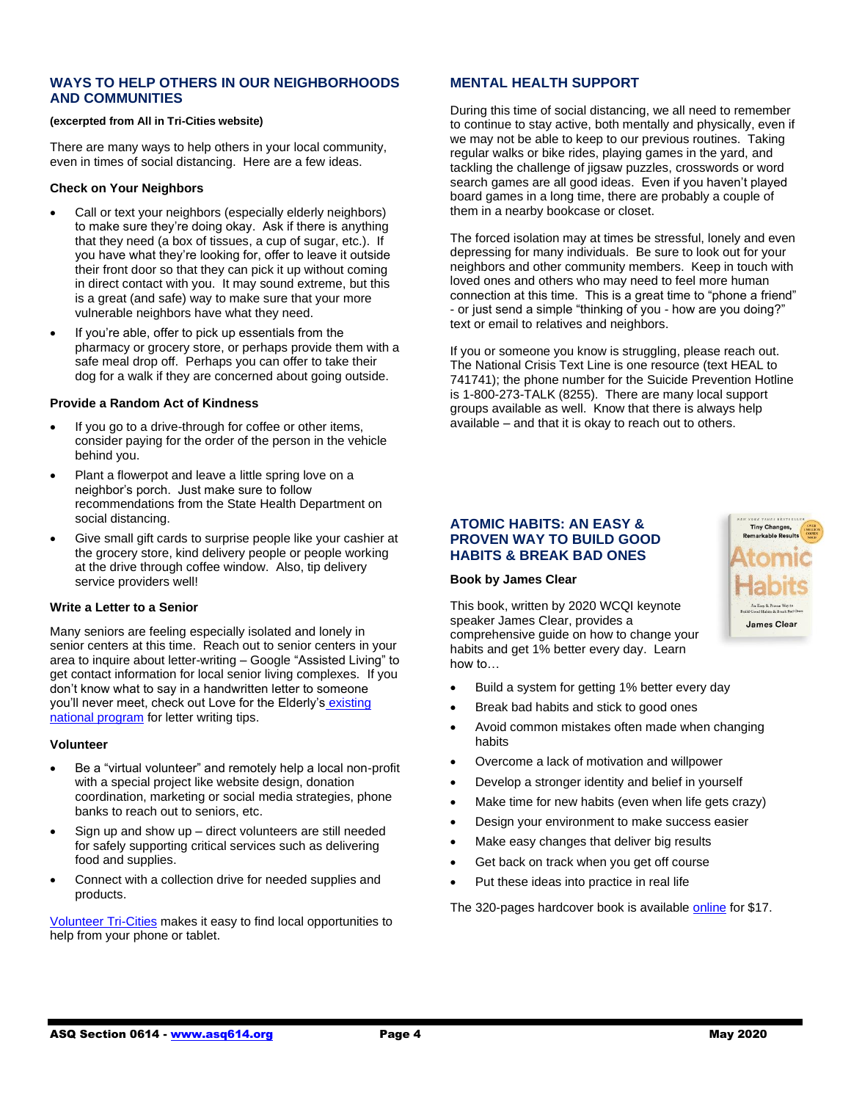#### **WAYS TO HELP OTHERS IN OUR NEIGHBORHOODS AND COMMUNITIES**

#### **(excerpted from All in Tri-Cities website)**

There are many ways to help others in your local community, even in times of social distancing. Here are a few ideas.

#### **Check on Your Neighbors**

- Call or text your neighbors (especially elderly neighbors) to make sure they're doing okay. Ask if there is anything that they need (a box of tissues, a cup of sugar, etc.). If you have what they're looking for, offer to leave it outside their front door so that they can pick it up without coming in direct contact with you. It may sound extreme, but this is a great (and safe) way to make sure that your more vulnerable neighbors have what they need.
- If you're able, offer to pick up essentials from the pharmacy or grocery store, or perhaps provide them with a safe meal drop off. Perhaps you can offer to take their dog for a walk if they are concerned about going outside.

#### **Provide a Random Act of Kindness**

- If you go to a drive-through for coffee or other items. consider paying for the order of the person in the vehicle behind you.
- Plant a flowerpot and leave a little spring love on a neighbor's porch. Just make sure to follow recommendations from the State Health Department on social distancing.
- Give small gift cards to surprise people like your cashier at the grocery store, kind delivery people or people working at the drive through coffee window. Also, tip delivery service providers well!

#### **Write a Letter to a Senior**

Many seniors are feeling especially isolated and lonely in senior centers at this time. Reach out to senior centers in your area to inquire about letter-writing – Google "Assisted Living" to get contact information for local senior living complexes. If you don't know what to say in a handwritten letter to someone you'll never meet, check out Love for the Elderly's [existing](https://lovefortheelderly.org/letters)  [national program](https://lovefortheelderly.org/letters) for letter writing tips.

#### **Volunteer**

- Be a "virtual volunteer" and remotely help a local non-profit with a special project like website design, donation coordination, marketing or social media strategies, phone banks to reach out to seniors, etc.
- Sign up and show up direct volunteers are still needed for safely supporting critical services such as delivering food and supplies.
- Connect with a collection drive for needed supplies and products.

[Volunteer Tri-Cities](https://nam01.safelinks.protection.outlook.com/?url=http%3A%2F%2Fwww.volunteertricities.org%2F&data=02%7C01%7Clayers%40uwbfco.org%7C5b8c046eb17643cde1fc08d7dc170a3d%7C7352901cbbc34e2ba6fce7c492ffbf03%7C1%7C0%7C637219863830583669&sdata=hfpo7saluTvKzBRGzCN15GOwrvJ%2FrUyhYw3iD6SpA%2FY%3D&reserved=0) makes it easy to find local opportunities to help from your phone or tablet.

#### **MENTAL HEALTH SUPPORT**

During this time of social distancing, we all need to remember to continue to stay active, both mentally and physically, even if we may not be able to keep to our previous routines. Taking regular walks or bike rides, playing games in the yard, and tackling the challenge of jigsaw puzzles, crosswords or word search games are all good ideas. Even if you haven't played board games in a long time, there are probably a couple of them in a nearby bookcase or closet.

The forced isolation may at times be stressful, lonely and even depressing for many individuals. Be sure to look out for your neighbors and other community members. Keep in touch with loved ones and others who may need to feel more human connection at this time. This is a great time to "phone a friend" - or just send a simple "thinking of you - how are you doing?" text or email to relatives and neighbors.

If you or someone you know is struggling, please reach out. The National Crisis Text Line is one resource (text HEAL to 741741); the phone number for the Suicide Prevention Hotline is 1-800-273-TALK (8255). There are many local support groups available as well. Know that there is always help available – and that it is okay to reach out to others.

#### **ATOMIC HABITS: AN EASY & PROVEN WAY TO BUILD GOOD HABITS & BREAK BAD ONES**



This book, written by 2020 WCQI keynote speaker James Clear, provides a comprehensive guide on how to change your habits and get 1% better every day. Learn how to…



- Build a system for getting 1% better every day
- Break bad habits and stick to good ones
- Avoid common mistakes often made when changing habits
- Overcome a lack of motivation and willpower
- Develop a stronger identity and belief in yourself
- Make time for new habits (even when life gets crazy)
- Design your environment to make success easier
- Make easy changes that deliver big results
- Get back on track when you get off course
- Put these ideas into practice in real life

The 320-pages hardcover book is availabl[e online](https://www.target.com/p/atomic-habits-by-james-clear-hardcover/-/A-53921029) for \$17.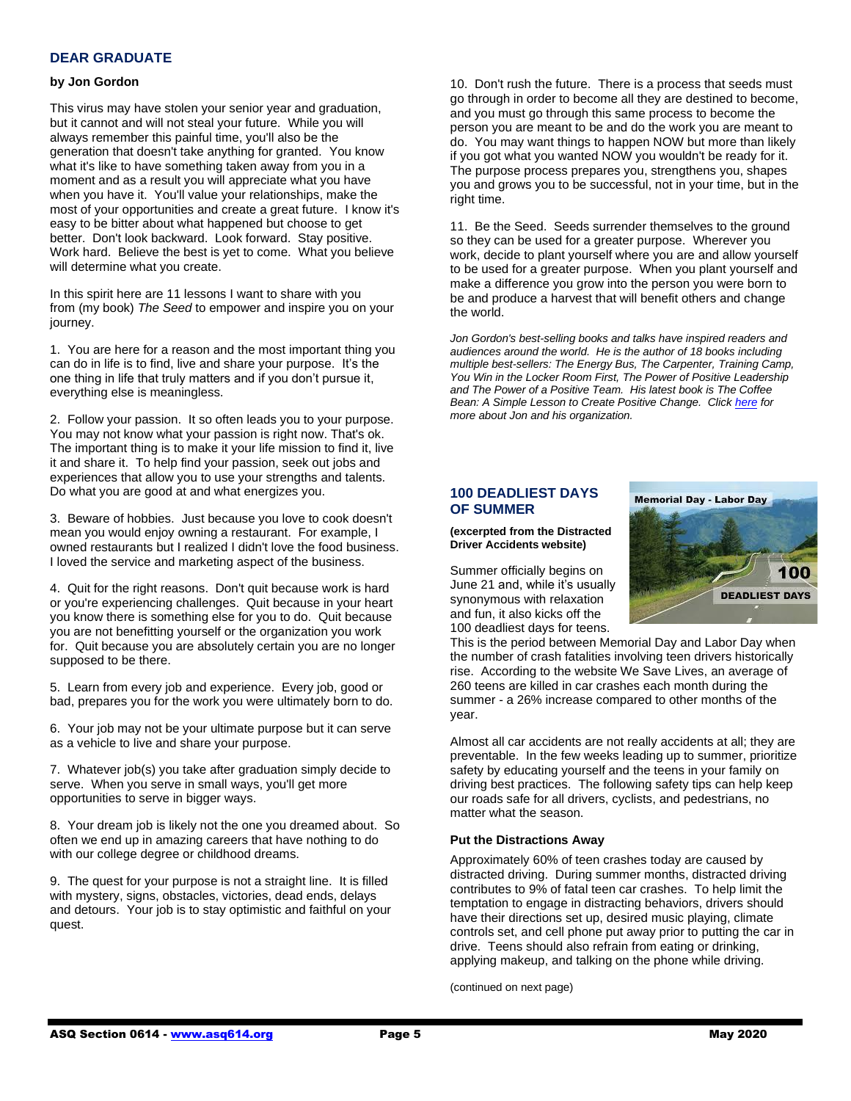# **DEAR GRADUATE**

#### **by Jon Gordon**

This virus may have stolen your senior year and graduation, but it cannot and will not steal your future. While you will always remember this painful time, you'll also be the generation that doesn't take anything for granted. You know what it's like to have something taken away from you in a moment and as a result you will appreciate what you have when you have it. You'll value your relationships, make the most of your opportunities and create a great future. I know it's easy to be bitter about what happened but choose to get better. Don't look backward. Look forward. Stay positive. Work hard. Believe the best is yet to come. What you believe will determine what you create.

In this spirit here are 11 lessons I want to share with you from (my book) *The Seed* to empower and inspire you on your journey.

1. You are here for a reason and the most important thing you can do in life is to find, live and share your purpose. It's the one thing in life that truly matters and if you don't pursue it, everything else is meaningless.

2. Follow your passion. It so often leads you to your purpose. You may not know what your passion is right now. That's ok. The important thing is to make it your life mission to find it, live it and share it. To help find your passion, seek out jobs and experiences that allow you to use your strengths and talents. Do what you are good at and what energizes you.

3. Beware of hobbies. Just because you love to cook doesn't mean you would enjoy owning a restaurant. For example, I owned restaurants but I realized I didn't love the food business. I loved the service and marketing aspect of the business.

4. Quit for the right reasons. Don't quit because work is hard or you're experiencing challenges. Quit because in your heart you know there is something else for you to do. Quit because you are not benefitting yourself or the organization you work for. Quit because you are absolutely certain you are no longer supposed to be there.

5. Learn from every job and experience. Every job, good or bad, prepares you for the work you were ultimately born to do.

6. Your job may not be your ultimate purpose but it can serve as a vehicle to live and share your purpose.

7. Whatever job(s) you take after graduation simply decide to serve. When you serve in small ways, you'll get more opportunities to serve in bigger ways.

8. Your dream job is likely not the one you dreamed about. So often we end up in amazing careers that have nothing to do with our college degree or childhood dreams.

9. The quest for your purpose is not a straight line. It is filled with mystery, signs, obstacles, victories, dead ends, delays and detours. Your job is to stay optimistic and faithful on your quest.

10. Don't rush the future. There is a process that seeds must go through in order to become all they are destined to become, and you must go through this same process to become the person you are meant to be and do the work you are meant to do. You may want things to happen NOW but more than likely if you got what you wanted NOW you wouldn't be ready for it. The purpose process prepares you, strengthens you, shapes you and grows you to be successful, not in your time, but in the right time.

11. Be the Seed. Seeds surrender themselves to the ground so they can be used for a greater purpose. Wherever you work, decide to plant yourself where you are and allow yourself to be used for a greater purpose. When you plant yourself and make a difference you grow into the person you were born to be and produce a harvest that will benefit others and change the world.

*Jon Gordon's best-selling books and talks have inspired readers and audiences around the world. He is the author of 18 books including multiple best-sellers: The Energy Bus, The Carpenter, Training Camp, You Win in the Locker Room First, The Power of Positive Leadership and The Power of a Positive Team. His latest book is The Coffee Bean: A Simple Lesson to Create Positive Change. Click [here](http://www.jongordon.com/) for more about Jon and his organization.*

#### **100 DEADLIEST DAYS OF SUMMER**

**(excerpted from the Distracted Driver Accidents website)**

Summer officially begins on June 21 and, while it's usually synonymous with relaxation and fun, it also kicks off the 100 deadliest days for teens.

**Memorial Day - Labor Day** 100 **DEADLIEST DAYS** 

This is the period between Memorial Day and Labor Day when the number of crash fatalities involving teen drivers historically rise. According to the website We Save Lives, an average of 260 teens are killed in car crashes each month during the summer - a 26% increase compared to other months of the year.

Almost all car accidents are not really accidents at all; they are preventable. In the few weeks leading up to summer, prioritize safety by educating yourself and the teens in your family on driving best practices. The following safety tips can help keep our roads safe for all drivers, cyclists, and pedestrians, no matter what the season.

#### **Put the Distractions Away**

Approximately 60% of teen crashes today are caused by distracted driving. During summer months, distracted driving contributes to 9% of fatal teen car crashes. To help limit the temptation to engage in distracting behaviors, drivers should have their directions set up, desired music playing, climate controls set, and cell phone put away prior to putting the car in drive. Teens should also refrain from eating or drinking, applying makeup, and talking on the phone while driving.

(continued on next page)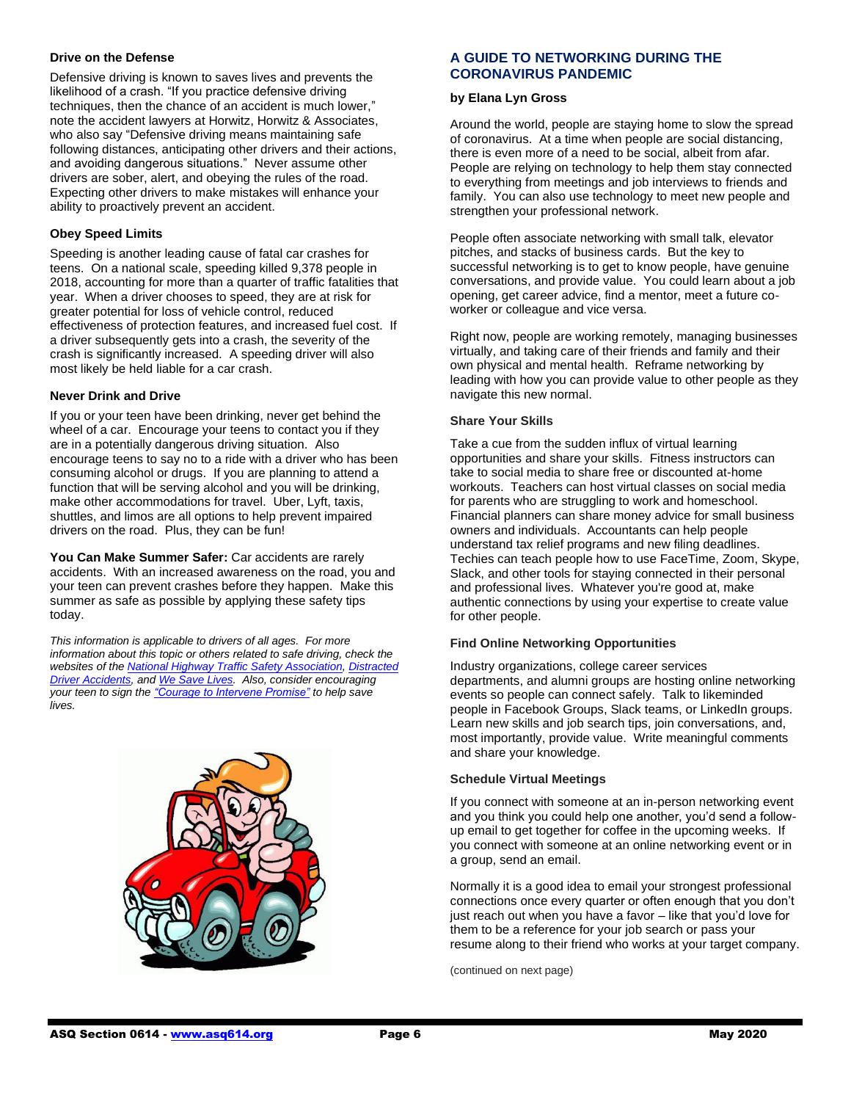#### **Drive on the Defense**

Defensive driving is known to saves lives and prevents the likelihood of a crash. "If you practice defensive driving techniques, then the chance of an accident is much lower," note the accident lawyers at Horwitz, Horwitz & Associates, who also say "Defensive driving means maintaining safe following distances, anticipating other drivers and their actions, and avoiding dangerous situations." Never assume other drivers are sober, alert, and obeying the rules of the road. Expecting other drivers to make mistakes will enhance your ability to proactively prevent an accident.

#### **Obey Speed Limits**

Speeding is another leading cause of fatal car crashes for teens. On a national scale, speeding killed 9,378 people in 2018, accounting for more than a quarter of traffic fatalities that year. When a driver chooses to speed, they are at risk for greater potential for loss of vehicle control, reduced effectiveness of protection features, and increased fuel cost. If a driver subsequently gets into a crash, the severity of the crash is significantly increased. A speeding driver will also most likely be held liable for a car crash.

#### **Never Drink and Drive**

If you or your teen have been drinking, never get behind the wheel of a car. Encourage your teens to contact you if they are in a potentially dangerous driving situation. Also encourage teens to say no to a ride with a driver who has been consuming alcohol or drugs. If you are planning to attend a function that will be serving alcohol and you will be drinking, make other accommodations for travel. Uber, Lyft, taxis, shuttles, and limos are all options to help prevent impaired drivers on the road. Plus, they can be fun!

**You Can Make Summer Safer:** Car accidents are rarely accidents. With an increased awareness on the road, you and your teen can prevent crashes before they happen. Make this summer as safe as possible by applying these safety tips today.

*This information is applicable to drivers of all ages. For more information about this topic or others related to safe driving, check the websites of th[e National Highway Traffic Safety Association,](https://www.nhtsa.gov/risky-driving/speeding) [Distracted](https://distracteddriveraccidents.com/safe-driving-tips/)  [Driver Accidents,](https://distracteddriveraccidents.com/safe-driving-tips/) an[d We Save Lives.](https://wesavelives.org/100-deadliest-days-of-summer/) Also, consider encouraging your teen to sign th[e "Courage to Intervene Promise"](https://wesavelives.org/campaigns/the-courage-to-intervene/) to help save lives.*



# **A GUIDE TO NETWORKING DURING THE CORONAVIRUS PANDEMIC**

#### **by Elana Lyn Gross**

Around the world, people are staying home to slow the spread of coronavirus. At a time when people are social distancing, there is even more of a need to be social, albeit from afar. People are relying on technology to help them stay connected to everything from meetings and job interviews to friends and family. You can also use technology to meet new people and [strengthen your professional network.](https://www.monster.com/career-advice/article/Create-a-Personal-Networking-Plan)

People often associate networking with small talk, elevator pitches, and stacks of business cards. But the key to successful networking is to get to know people, have genuine conversations, and provide value. You could learn about a job opening, get career advice, find a mentor, meet a future coworker or colleague and vice versa.

Right now, people are working remotely, managing businesses virtually, and taking care of their friends and family and their own physical and mental health. Reframe networking by leading with how you can provide value to other people as they navigate this new normal.

#### **Share Your Skills**

Take a cue from the sudden influx of virtual learning opportunities and share your skills. Fitness instructors can take to social media to share free or discounted at-home workouts. Teachers can host virtual classes on social media for parents who are struggling to work and homeschool. Financial planners can share money advice for small business owners and individuals. Accountants can help people understand tax relief programs and new filing deadlines. Techies can teach people how to use FaceTime, Zoom, Skype, Slack, and other tools for staying connected in their personal and professional lives. Whatever you're good at, make authentic connections by using your expertise to create value for other people.

#### **Find Online Networking Opportunities**

Industry organizations, college career services departments, and alumni groups are hosting online networking events so people can connect safely. Talk to likeminded people in Facebook Groups, Slack teams, or LinkedIn groups. Learn new skills and job search tips, join conversations, and, most importantly, provide value. Write meaningful comments and share your knowledge.

#### **Schedule Virtual Meetings**

If you connect with someone at an in-person networking event and you think you could help one another, you'd send a followup email to get together for coffee in the upcoming weeks. If you connect with someone at an online networking event or in a group, send an email.

Normally it is a good idea to email your strongest professional connections once every quarter or often enough that you don't just reach out when you have a favor - like that you'd love for them to be a reference for your job search or pass your resume along to their friend who works at your target company.

(continued on next page)